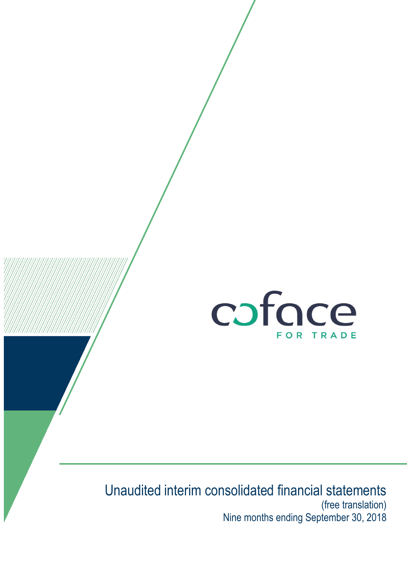

# Unaudited interim consolidated financial statements (free translation) Nine months ending September 30, 2018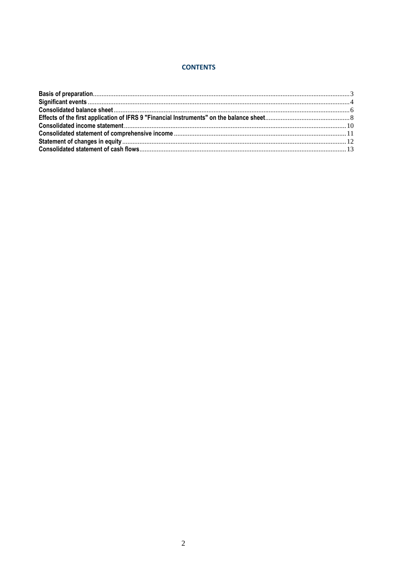#### **CONTENTS**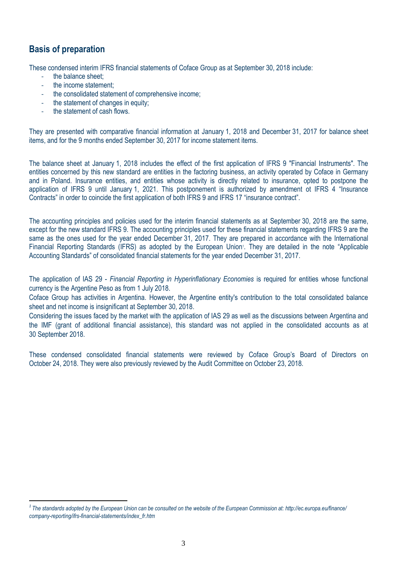### <span id="page-2-0"></span>**Basis of preparation**

 $\overline{a}$ 

These condensed interim IFRS financial statements of Coface Group as at September 30, 2018 include:

- the balance sheet:
- the income statement:
- the consolidated statement of comprehensive income;
- the statement of changes in equity;
- the statement of cash flows.

They are presented with comparative financial information at January 1, 2018 and December 31, 2017 for balance sheet items, and for the 9 months ended September 30, 2017 for income statement items.

The balance sheet at January 1, 2018 includes the effect of the first application of IFRS 9 "Financial Instruments". The entities concerned by this new standard are entities in the factoring business, an activity operated by Coface in Germany and in Poland. Insurance entities, and entities whose activity is directly related to insurance, opted to postpone the application of IFRS 9 until January 1, 2021. This postponement is authorized by amendment ot IFRS 4 "Insurance Contracts" in order to coincide the first application of both IFRS 9 and IFRS 17 "insurance contract".

The accounting principles and policies used for the interim financial statements as at September 30, 2018 are the same, except for the new standard IFRS 9. The accounting principles used for these financial statements regarding IFRS 9 are the same as the ones used for the year ended December 31, 2017. They are prepared in accordance with the International Financial Reporting Standards (IFRS) as adopted by the European Union<sup>1</sup>. They are detailed in the note "Applicable Accounting Standards" of consolidated financial statements for the year ended December 31, 2017.

The application of IAS 29 - *Financial Reporting in Hyperinflationary Economies* is required for entities whose functional currency is the Argentine Peso as from 1 July 2018.

Coface Group has activities in Argentina. However, the Argentine entity's contribution to the total consolidated balance sheet and net income is insignificant at September 30, 2018.

Considering the issues faced by the market with the application of IAS 29 as well as the discussions between Argentina and the IMF (grant of additional financial assistance), this standard was not applied in the consolidated accounts as at 30 September 2018.

These condensed consolidated financial statements were reviewed by Coface Group's Board of Directors on October 24, 2018. They were also previously reviewed by the Audit Committee on October 23, 2018.

*<sup>1</sup> The standards adopted by the European Union can be consulted on the website of the European Commission at: http://ec.europa.eu/finance/ company-reporting/ifrs-financial-statements/index\_fr.htm*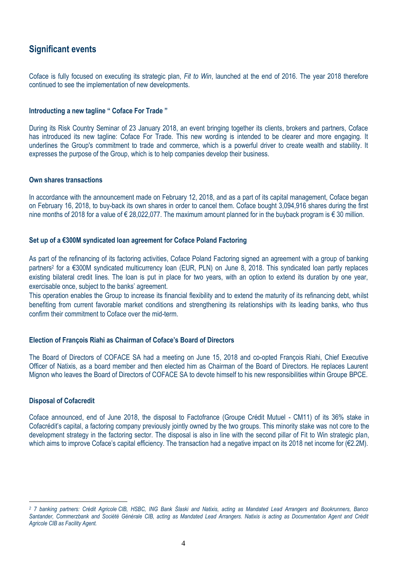### <span id="page-3-0"></span>**Significant events**

Coface is fully focused on executing its strategic plan, *Fit to Win*, launched at the end of 2016. The year 2018 therefore continued to see the implementation of new developments.

#### **Introducting a new tagline " Coface For Trade "**

During its Risk Country Seminar of 23 January 2018, an event bringing together its clients, brokers and partners, Coface has introduced its new tagline: Coface For Trade. This new wording is intended to be clearer and more engaging. It underlines the Group's commitment to trade and commerce, which is a powerful driver to create wealth and stability. It expresses the purpose of the Group, which is to help companies develop their business.

#### **Own shares transactions**

In accordance with the announcement made on February 12, 2018, and as a part of its capital management, Coface began on February 16, 2018, to buy-back its own shares in order to cancel them. Coface bought 3,094,916 shares during the first nine months of 2018 for a value of  $\epsilon$  28,022,077. The maximum amount planned for in the buyback program is  $\epsilon$  30 million.

#### **Set up of a €300M syndicated loan agreement for Coface Poland Factoring**

As part of the refinancing of its factoring activities, Coface Poland Factoring signed an agreement with a group of banking partners<sup>2</sup> for a €300M syndicated multicurrency Ioan (EUR, PLN) on June 8, 2018. This syndicated Ioan partly replaces existing bilateral credit lines. The loan is put in place for two years, with an option to extend its duration by one year, exercisable once, subject to the banks' agreement.

This operation enables the Group to increase its financial flexibility and to extend the maturity of its refinancing debt, whilst benefiting from current favorable market conditions and strengthening its relationships with its leading banks, who thus confirm their commitment to Coface over the mid-term.

#### **Election of François Riahi as Chairman of Coface's Board of Directors**

The Board of Directors of COFACE SA had a meeting on June 15, 2018 and co-opted François Riahi, Chief Executive Officer of Natixis, as a board member and then elected him as Chairman of the Board of Directors. He replaces Laurent Mignon who leaves the Board of Directors of COFACE SA to devote himself to his new responsibilities within Groupe BPCE.

#### **Disposal of Cofacredit**

 $\overline{a}$ 

Coface announced, end of June 2018, the disposal to Factofrance (Groupe Crédit Mutuel - CM11) of its 36% stake in Cofacrédit's capital, a factoring company previously jointly owned by the two groups. This minority stake was not core to the development strategy in the factoring sector. The disposal is also in line with the second pillar of Fit to Win strategic plan, which aims to improve Coface's capital efficiency. The transaction had a negative impact on its 2018 net income for (€2.2M).

*<sup>2</sup> 7 banking partners: Crédit Agricole CIB, HSBC, ING Bank Ślaski and Natixis, acting as Mandated Lead Arrangers and Bookrunners, Banco*  Santander, Commerzbank and Société Générale CIB, acting as Mandated Lead Arrangers. Natixis is acting as Documentation Agent and Crédit *Agricole CIB as Facility Agent.*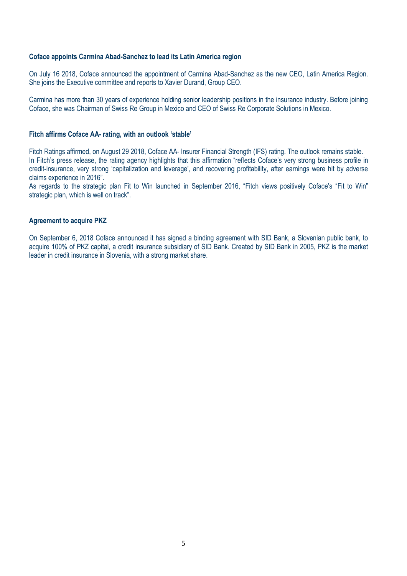#### **Coface appoints Carmina Abad-Sanchez to lead its Latin America region**

On July 16 2018, Coface announced the appointment of Carmina Abad-Sanchez as the new CEO, Latin America Region. She joins the Executive committee and reports to Xavier Durand, Group CEO.

Carmina has more than 30 years of experience holding senior leadership positions in the insurance industry. Before joining Coface, she was Chairman of Swiss Re Group in Mexico and CEO of Swiss Re Corporate Solutions in Mexico.

#### **Fitch affirms Coface AA- rating, with an outlook 'stable'**

Fitch Ratings affirmed, on August 29 2018, Coface AA- Insurer Financial Strength (IFS) rating. The outlook remains stable. In Fitch's press release, the rating agency highlights that this affirmation "reflects Coface's very strong business profile in credit-insurance, very strong 'capitalization and leverage', and recovering profitability, after earnings were hit by adverse claims experience in 2016".

As regards to the strategic plan Fit to Win launched in September 2016, "Fitch views positively Coface's "Fit to Win" strategic plan, which is well on track".

#### **Agreement to acquire PKZ**

On September 6, 2018 Coface announced it has signed a binding agreement with SID Bank, a Slovenian public bank, to acquire 100% of PKZ capital, a credit insurance subsidiary of SID Bank. Created by SID Bank in 2005, PKZ is the market leader in credit insurance in Slovenia, with a strong market share.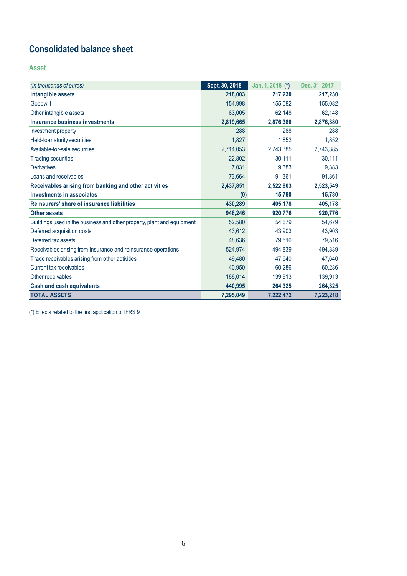## <span id="page-5-0"></span>**Consolidated balance sheet**

**Asset**

| (in thousands of euros)                                                | Sept. 30, 2018 | Jan. 1, 2018 (*) | Dec. 31, 2017 |
|------------------------------------------------------------------------|----------------|------------------|---------------|
| Intangible assets                                                      | 218,003        | 217,230          | 217,230       |
| Goodwill                                                               | 154,998        | 155,082          | 155,082       |
| Other intangible assets                                                | 63,005         | 62,148           | 62,148        |
| Insurance business investments                                         | 2,819,665      | 2,876,380        | 2,876,380     |
| Investment property                                                    | 288            | 288              | 288           |
| Held-to-maturity securities                                            | 1,827          | 1.852            | 1.852         |
| Available-for-sale securities                                          | 2,714,053      | 2,743,385        | 2,743,385     |
| <b>Trading securities</b>                                              | 22,802         | 30,111           | 30,111        |
| <b>Derivatives</b>                                                     | 7,031          | 9,383            | 9,383         |
| Loans and receivables                                                  | 73,664         | 91,361           | 91,361        |
| Receivables arising from banking and other activities                  | 2,437,851      | 2,522,803        | 2,523,549     |
| <b>Investments in associates</b>                                       | (0)            | 15,780           | 15,780        |
| Reinsurers' share of insurance liabilities                             | 430,289        | 405,178          | 405,178       |
| <b>Other assets</b>                                                    | 948,246        | 920,776          | 920,776       |
| Buildings used in the business and other property, plant and equipment | 52.580         | 54.679           | 54.679        |
| Deferred acquisition costs                                             | 43,612         | 43,903           | 43,903        |
| Deferred tax assets                                                    | 48,636         | 79,516           | 79,516        |
| Receivables arising from insurance and reinsurance operations          | 524,974        | 494,839          | 494,839       |
| Trade receivables arising from other activities                        | 49,480         | 47,640           | 47,640        |
| Current tax receivables                                                | 40,950         | 60,286           | 60,286        |
| Other receivables                                                      | 188.014        | 139,913          | 139,913       |
| <b>Cash and cash equivalents</b>                                       | 440,995        | 264,325          | 264,325       |
| <b>TOTAL ASSETS</b>                                                    | 7,295,049      | 7,222,472        | 7,223,218     |

(\*) Effects related to the first application of IFRS 9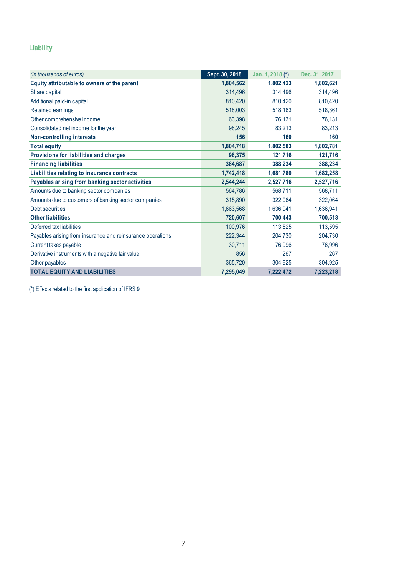### **Liability**

| (in thousands of euros)                                    | Sept. 30, 2018 | Jan. 1, 2018 (*) | Dec. 31, 2017 |
|------------------------------------------------------------|----------------|------------------|---------------|
| Equity attributable to owners of the parent                | 1,804,562      | 1,802,423        | 1,802,621     |
| Share capital                                              | 314,496        | 314,496          | 314,496       |
| Additional paid-in capital                                 | 810,420        | 810,420          | 810,420       |
| Retained earnings                                          | 518,003        | 518,163          | 518,361       |
| Other comprehensive income                                 | 63,398         | 76,131           | 76,131        |
| Consolidated net income for the year                       | 98,245         | 83,213           | 83,213        |
| <b>Non-controlling interests</b>                           | 156            | 160              | 160           |
| <b>Total equity</b>                                        | 1,804,718      | 1,802,583        | 1,802,781     |
| Provisions for liabilities and charges                     | 98,375         | 121,716          | 121,716       |
| <b>Financing liabilities</b>                               | 384,687        | 388,234          | 388,234       |
| Liabilities relating to insurance contracts                | 1,742,418      | 1,681,780        | 1,682,258     |
| Payables arising from banking sector activities            | 2,544,244      | 2,527,716        | 2,527,716     |
| Amounts due to banking sector companies                    | 564,786        | 568,711          | 568,711       |
| Amounts due to customers of banking sector companies       | 315,890        | 322,064          | 322,064       |
| Debt securities                                            | 1,663,568      | 1,636,941        | 1,636,941     |
| <b>Other liabilities</b>                                   | 720,607        | 700,443          | 700,513       |
| Deferred tax liabilities                                   | 100,976        | 113,525          | 113,595       |
| Payables arising from insurance and reinsurance operations | 222,344        | 204,730          | 204,730       |
| Current taxes payable                                      | 30,711         | 76,996           | 76,996        |
| Derivative instruments with a negative fair value          | 856            | 267              | 267           |
| Other payables                                             | 365,720        | 304,925          | 304,925       |
| <b>TOTAL EQUITY AND LIABILITIES</b>                        | 7,295,049      | 7,222,472        | 7,223,218     |

(\*) Effects related to the first application of IFRS 9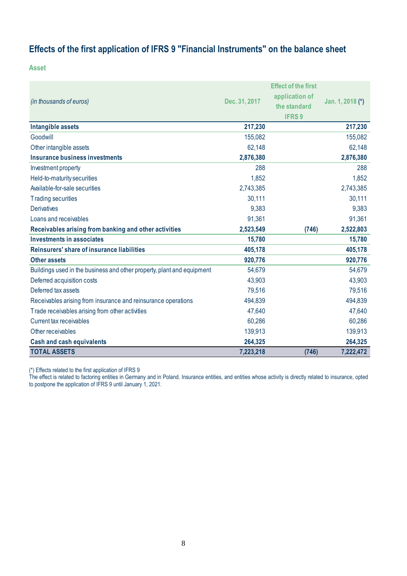## <span id="page-7-0"></span>**Effects of the first application of IFRS 9 "Financial Instruments" on the balance sheet**

**Asset**

|                                                                        |               | <b>Effect of the first</b> |                  |
|------------------------------------------------------------------------|---------------|----------------------------|------------------|
| (in thousands of euros)                                                | Dec. 31, 2017 | application of             | Jan. 1, 2018 (*) |
|                                                                        |               | the standard               |                  |
|                                                                        |               | <b>IFRS9</b>               |                  |
| Intangible assets                                                      | 217,230       |                            | 217,230          |
| Goodwill                                                               | 155,082       |                            | 155,082          |
| Other intangible assets                                                | 62,148        |                            | 62,148           |
| <b>Insurance business investments</b>                                  | 2,876,380     |                            | 2,876,380        |
| Investment property                                                    | 288           |                            | 288              |
| Held-to-maturity securities                                            | 1,852         |                            | 1,852            |
| Available-for-sale securities                                          | 2,743,385     |                            | 2,743,385        |
| <b>Trading securities</b>                                              | 30,111        |                            | 30,111           |
| <b>Derivatives</b>                                                     | 9,383         |                            | 9,383            |
| Loans and receivables                                                  | 91,361        |                            | 91,361           |
| Receivables arising from banking and other activities                  | 2,523,549     | (746)                      | 2,522,803        |
| <b>Investments in associates</b>                                       | 15,780        |                            | 15,780           |
| Reinsurers' share of insurance liabilities                             | 405,178       |                            | 405,178          |
| <b>Other assets</b>                                                    | 920,776       |                            | 920,776          |
| Buildings used in the business and other property, plant and equipment | 54,679        |                            | 54,679           |
| Deferred acquisition costs                                             | 43,903        |                            | 43,903           |
| Deferred tax assets                                                    | 79,516        |                            | 79,516           |
| Receivables arising from insurance and reinsurance operations          | 494,839       |                            | 494,839          |
| Trade receivables arising from other activities                        | 47,640        |                            | 47,640           |
| Current tax receivables                                                | 60,286        |                            | 60,286           |
| Other receivables                                                      | 139,913       |                            | 139,913          |
| <b>Cash and cash equivalents</b>                                       | 264,325       |                            | 264,325          |
| <b>TOTAL ASSETS</b>                                                    | 7,223,218     | (746)                      | 7,222,472        |

(\*) Effects related to the first application of IFRS 9

The effect is related to factoring entities in Germany and in Poland. Insurance entities, and entities whose activity is directly related to insurance, opted to postpone the application of IFRS 9 until January 1, 2021.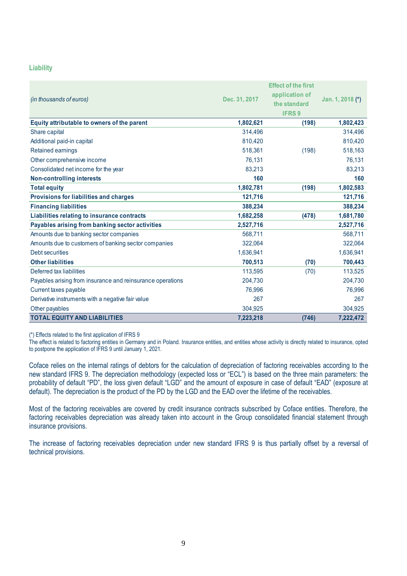#### **Liability**

|                                                            |               | <b>Effect of the first</b> |                  |
|------------------------------------------------------------|---------------|----------------------------|------------------|
|                                                            |               | application of             |                  |
| (in thousands of euros)                                    | Dec. 31, 2017 | the standard               | Jan. 1, 2018 (*) |
|                                                            |               | <b>IFRS9</b>               |                  |
| Equity attributable to owners of the parent                | 1,802,621     | (198)                      | 1,802,423        |
| Share capital                                              | 314,496       |                            | 314,496          |
| Additional paid-in capital                                 | 810,420       |                            | 810,420          |
| <b>Retained earnings</b>                                   | 518,361       | (198)                      | 518,163          |
| Other comprehensive income                                 | 76,131        |                            | 76,131           |
| Consolidated net income for the year                       | 83,213        |                            | 83,213           |
| <b>Non-controlling interests</b>                           | 160           |                            | 160              |
| <b>Total equity</b>                                        | 1,802,781     | (198)                      | 1,802,583        |
| Provisions for liabilities and charges                     | 121,716       |                            | 121,716          |
| <b>Financing liabilities</b>                               | 388,234       |                            | 388,234          |
| Liabilities relating to insurance contracts                | 1,682,258     | (478)                      | 1,681,780        |
| Payables arising from banking sector activities            | 2,527,716     |                            | 2,527,716        |
| Amounts due to banking sector companies                    | 568,711       |                            | 568,711          |
| Amounts due to customers of banking sector companies       | 322,064       |                            | 322,064          |
| Debt securities                                            | 1,636,941     |                            | 1,636,941        |
| <b>Other liabilities</b>                                   | 700,513       | (70)                       | 700,443          |
| Deferred tax liabilities                                   | 113,595       | (70)                       | 113,525          |
| Payables arising from insurance and reinsurance operations | 204,730       |                            | 204,730          |
| Current taxes payable                                      | 76,996        |                            | 76,996           |
| Derivative instruments with a negative fair value          | 267           |                            | 267              |
| Other payables                                             | 304,925       |                            | 304,925          |
| <b>TOTAL EQUITY AND LIABILITIES</b>                        | 7,223,218     | (746)                      | 7,222,472        |

(\*) Effects related to the first application of IFRS 9

The effect is related to factoring entities in Germany and in Poland. Insurance entities, and entities whose activity is directly related to insurance, opted to postpone the application of IFRS 9 until January 1, 2021.

Coface relies on the internal ratings of debtors for the calculation of depreciation of factoring receivables according to the new standard IFRS 9. The depreciation methodology (expected loss or "ECL") is based on the three main parameters: the probability of default "PD", the loss given default "LGD" and the amount of exposure in case of default "EAD" (exposure at default). The depreciation is the product of the PD by the LGD and the EAD over the lifetime of the receivables.

Most of the factoring receivables are covered by credit insurance contracts subscribed by Coface entities. Therefore, the factoring receivables depreciation was already taken into account in the Group consolidated financial statement through insurance provisions.

The increase of factoring receivables depreciation under new standard IFRS 9 is thus partially offset by a reversal of technical provisions.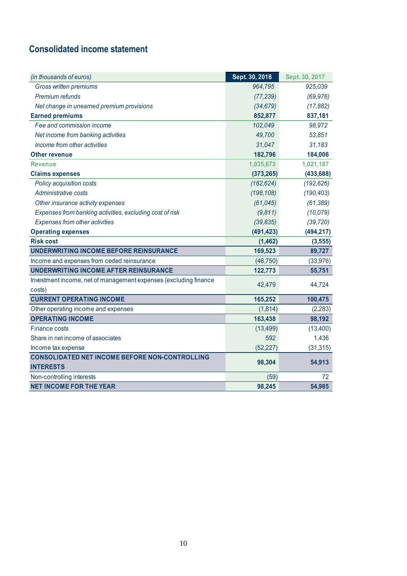## <span id="page-9-0"></span>**Consolidated income statement**

| (in thousands of euros)                                          | Sept. 30, 2018 | Sept. 30, 2017 |
|------------------------------------------------------------------|----------------|----------------|
| Gross written premiums                                           | 964,795        | 925,039        |
| Premium refunds                                                  | (77, 239)      | (69, 976)      |
| Net change in unearned premium provisions                        | (34, 679)      | (17, 882)      |
| <b>Earned premiums</b>                                           | 852,877        | 837,181        |
| Fee and commission income                                        | 102,049        | 98,972         |
| Net income from banking activities                               | 49,700         | 53,851         |
| Income from other activities                                     | 31,047         | 31,183         |
| <b>Other revenue</b>                                             | 182,796        | 184,006        |
| <b>Revenue</b>                                                   | 1,035,673      | 1,021,187      |
| <b>Claims expenses</b>                                           | (373, 265)     | (433, 688)     |
| Policy acquisition costs                                         | (182, 624)     | (192, 626)     |
| Administrative costs                                             | (198, 108)     | (190, 403)     |
| Other insurance activity expenses                                | (61, 045)      | (61, 389)      |
| Expenses from banking activities, excluding cost of risk         | (9,811)        | (10,079)       |
| Expenses from other activities                                   | (39, 835)      | (39, 720)      |
| <b>Operating expenses</b>                                        | (491, 423)     | (494, 217)     |
| <b>Risk cost</b>                                                 | (1, 462)       | (3, 555)       |
| UNDERWRITING INCOME BEFORE REINSURANCE                           | 169,523        | 89,727         |
| Income and expenses from ceded reinsurance                       | (46, 750)      | (33, 976)      |
| UNDERWRITING INCOME AFTER REINSURANCE                            | 122,773        | 55,751         |
| Investment income, net of management expenses (excluding finance | 42,479         | 44,724         |
| costs)                                                           |                |                |
| <b>CURRENT OPERATING INCOME</b>                                  | 165,252        | 100,475        |
| Other operating income and expenses                              | (1, 814)       | (2, 283)       |
| <b>OPERATING INCOME</b>                                          | 163,438        | 98,192         |
| Finance costs                                                    | (13, 499)      | (13,400)       |
| Share in net income of associates                                | 592            | 1,436          |
| Income tax expense                                               | (52, 227)      | (31, 315)      |
| <b>CONSOLIDATED NET INCOME BEFORE NON-CONTROLLING</b>            | 98,304         | 54,913         |
| <b>INTERESTS</b>                                                 |                |                |
| Non-controlling interests                                        | (59)           | 72             |
| <b>NET INCOME FOR THE YEAR</b>                                   | 98,245         | 54,985         |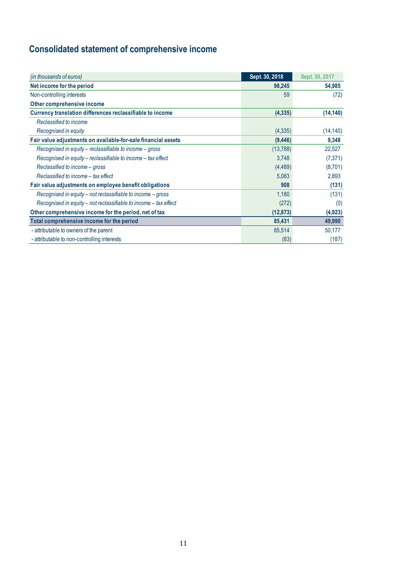# <span id="page-10-0"></span>**Consolidated statement of comprehensive income**

| (in thousands of euros)                                          | Sept. 30, 2018 | Sept. 30, 2017 |
|------------------------------------------------------------------|----------------|----------------|
| Net income for the period                                        | 98,245         | 54,985         |
| Non-controlling interests                                        | 59             | (72)           |
| Other comprehensive income                                       |                |                |
| Currency translation differences reclassifiable to income        | (4, 335)       | (14, 140)      |
| Reclassified to income                                           |                |                |
| Recognised in equity                                             | (4, 335)       | (14, 140)      |
| Fair value adjustments on available-for-sale financial assets    | (9, 446)       | 9,348          |
| Recognised in equity – reclassifiable to income – gross          | (13, 788)      | 22,527         |
| Recognised in equity – reclassifiable to income – tax effect     | 3,748          | (7, 371)       |
| Reclassified to income – gross                                   | (4, 489)       | (8,701)        |
| Reclassified to income - tax effect                              | 5,083          | 2,893          |
| Fair value adjustments on employee benefit obligations           | 908            | (131)          |
| Recognised in equity – not reclassifiable to income – gross      | 1,180          | (131)          |
| Recognised in equity – not reclassifiable to income – tax effect | (272)          | (0)            |
| Other comprehensive income for the period, net of tax            | (12, 873)      | (4, 923)       |
| Total comprehensive income for the period                        | 85,431         | 49,990         |
| - attributable to owners of the parent                           | 85,514         | 50,177         |
| - attributable to non-controlling interests                      | (83)           | (187)          |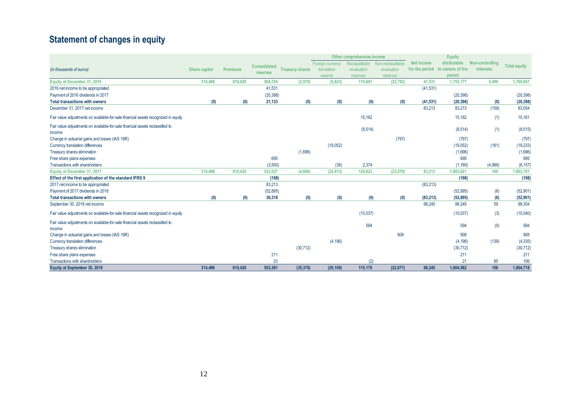# **Statement of changes in equity**

<span id="page-11-0"></span>

|                                                                                    |               |                 |                     |                        |                  | Other comprehensive income |                    |            | <b>Equity</b>                   |                  |                     |
|------------------------------------------------------------------------------------|---------------|-----------------|---------------------|------------------------|------------------|----------------------------|--------------------|------------|---------------------------------|------------------|---------------------|
|                                                                                    |               |                 | <b>Consolidated</b> |                        | Foreign currency | Reclassifiable             | Non-reclassifiable | Net income | attributable                    | Non-controlling  | <b>Total equity</b> |
| (in thousands of euros)                                                            | Share capital | <b>Premiums</b> | reserves            | <b>Treasury shares</b> | translation      | revaluation                | revaluation        |            | for the period to owners of the | <b>interests</b> |                     |
|                                                                                    |               |                 |                     |                        | reserve          | reserves                   | reserves           |            | parent                          |                  |                     |
| Equity at December 31, 2016                                                        | 314,496       | 810,420         | 504,704             | (2,970)                | (5,823)          | 115,601                    | (22, 782)          | 41,531     | 1,755,177                       | 5,490            | 1,760,667           |
| 2016 net income to be appropriated                                                 |               |                 | 41,531              |                        |                  |                            |                    | (41, 531)  |                                 |                  |                     |
| Payment of 2016 dividends in 2017                                                  |               |                 | (20, 398)           |                        |                  |                            |                    |            | (20, 398)                       |                  | (20, 398)           |
| <b>Total transactions with owners</b>                                              | (0)           | (0)             | 21,133              | (0)                    | (0)              | (0)                        | (0)                | (41, 531)  | (20, 398)                       | (0)              | (20, 398)           |
| December 31, 2017 net income                                                       |               |                 |                     |                        |                  |                            |                    | 83.213     | 83,213                          | (159)            | 83,054              |
| Fair value adjustments on available-for-sale financial assets recognized in equity |               |                 |                     |                        |                  | 15,162                     |                    |            | 15,162                          | (1)              | 15,161              |
| Fair value adjustments on available-for-sale financial assets reclassified to      |               |                 |                     |                        |                  | (8, 514)                   |                    |            | (8,514)                         | (1)              | (8, 515)            |
| income                                                                             |               |                 |                     |                        |                  |                            |                    |            |                                 |                  |                     |
| Change in actuarial gains and losses (IAS 19R)                                     |               |                 |                     |                        |                  |                            | (797)              |            | (797)                           |                  | (797)               |
| Currency translation differences                                                   |               |                 |                     |                        | (19,052)         |                            |                    |            | (19,052)                        | (181)            | (19, 233)           |
| Treasury shares elimination                                                        |               |                 |                     | (1,696)                |                  |                            |                    |            | (1,696)                         |                  | (1,696)             |
| Free share plans expenses                                                          |               |                 | 695                 |                        |                  |                            |                    |            | 695                             |                  | 695                 |
| Transactions with shareholders                                                     |               |                 | (3,505)             |                        | (38)             | 2,374                      |                    |            | (1, 169)                        | (4,988)          | (6, 157)            |
| Equity at December 31, 2017                                                        | 314,496       | 810,420         | 523,027             | (4,666)                | (24, 913)        | 124,623                    | (23, 579)          | 83.213     | 1.802.621                       | 160              | 1,802,781           |
| Effect of the first application of the standard IFRS 9                             |               |                 | (198)               |                        |                  |                            |                    |            | (198)                           |                  | (198)               |
| 2017 net income to be appropriated                                                 |               |                 | 83,213              |                        |                  |                            |                    | (83, 213)  |                                 |                  |                     |
| Payment of 2017 dividends in 2018                                                  |               |                 | (52, 895)           |                        |                  |                            |                    |            | (52, 895)                       | (6)              | (52, 901)           |
| <b>Total transactions with owners</b>                                              | (0)           | (0)             | 30,318              | (0)                    | (0)              | (0)                        | (0)                | (83, 213)  | (52, 895)                       | (6)              | (52, 901)           |
| September 30, 2018 net income                                                      |               |                 |                     |                        |                  |                            |                    | 98.245     | 98,245                          | 59               | 98,304              |
| Fair value adjustments on available-for-sale financial assets recognized in equity |               |                 |                     |                        |                  | (10,037)                   |                    |            | (10,037)                        | (3)              | (10,040)            |
| Fair value adjustments on available-for-sale financial assets reclassified to      |               |                 |                     |                        |                  | 594                        |                    |            | 594                             | (0)              | 594                 |
| income                                                                             |               |                 |                     |                        |                  |                            |                    |            |                                 |                  |                     |
| Change in actuarial gains and losses (IAS 19R)                                     |               |                 |                     |                        |                  |                            | 908                |            | 908                             |                  | 908                 |
| Currency translation differences                                                   |               |                 |                     |                        | (4, 196)         |                            |                    |            | (4, 196)                        | (139)            | (4, 335)            |
| Treasury shares elimination                                                        |               |                 |                     | (30, 712)              |                  |                            |                    |            | (30, 712)                       |                  | (30, 712)           |
| Free share plans expenses                                                          |               |                 | 211                 |                        |                  |                            |                    |            | 211                             |                  | 211                 |
| Transactions with shareholders                                                     |               |                 | 23                  |                        |                  | (2)                        |                    |            | 21                              | 85               | 106                 |
| Equity at September 30, 2018                                                       | 314.496       | 810,420         | 553,381             | (35, 378)              | (29, 109)        | 115,178                    | (22, 671)          | 98.245     | 1,804,562                       | 156              | 1,804,718           |